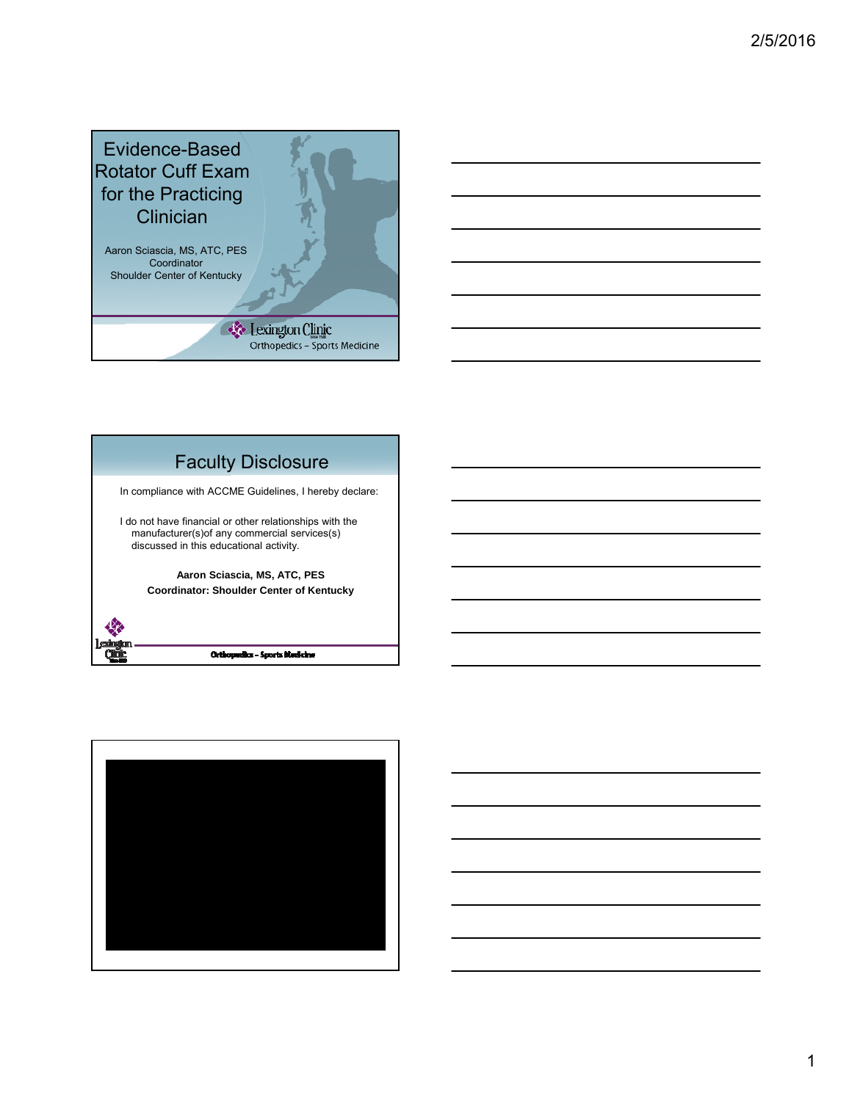



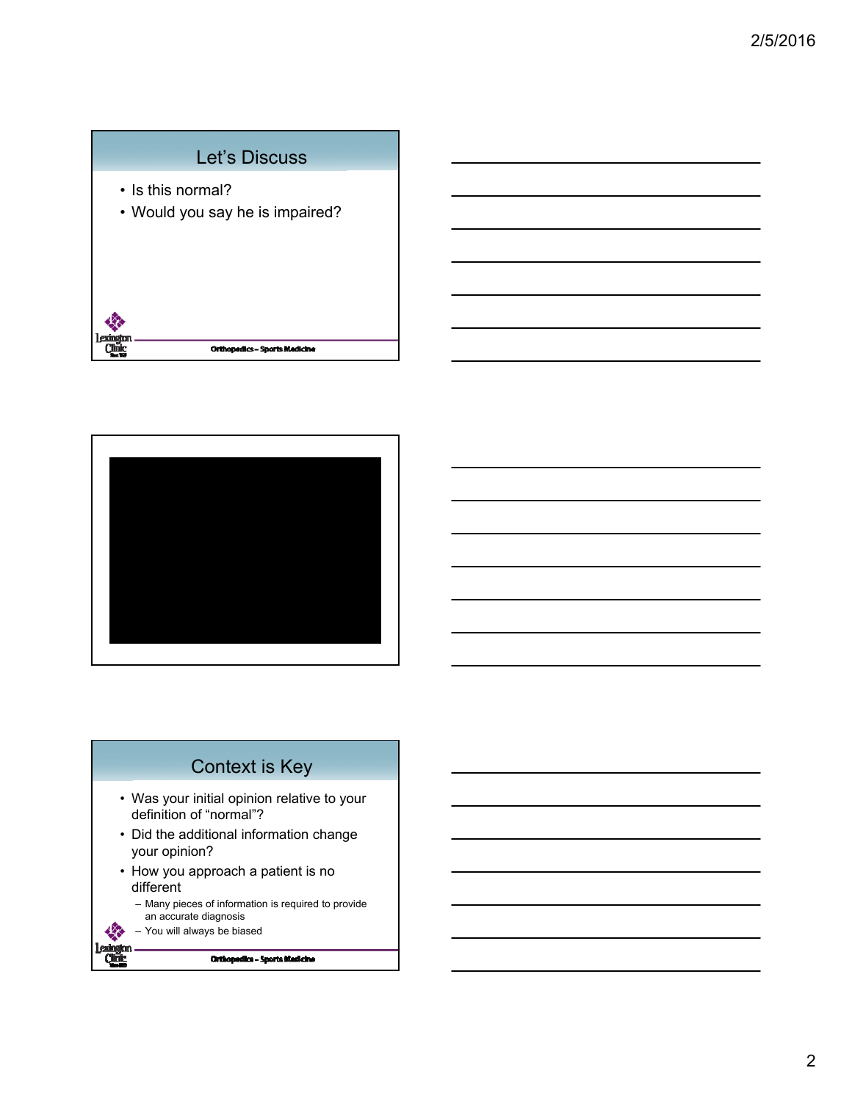## Let's Discuss

- Is this normal?
- Would you say he is impaired?





- Was your initial opinion relative to your definition of "normal"?
- Did the additional information change your opinion?
- How you approach a patient is no different
	- Many pieces of information is required to provide an accurate diagnosis
	- You will always be biased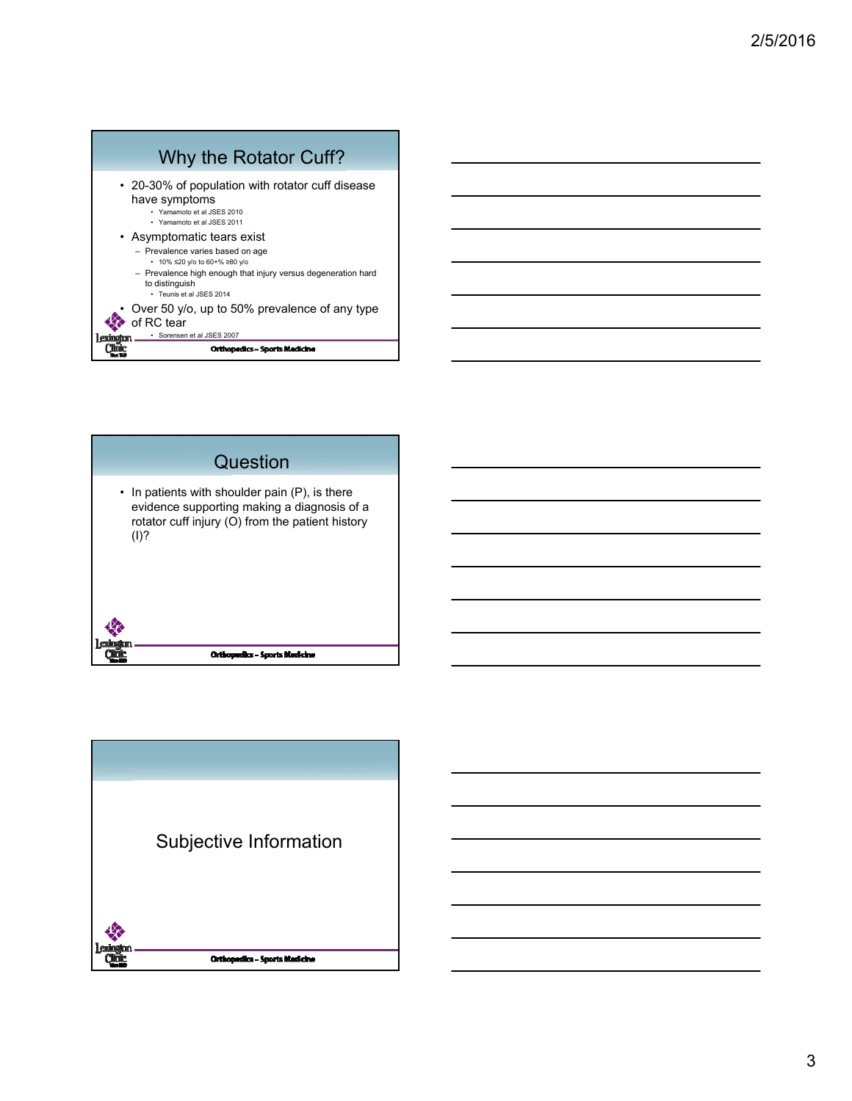| Why the Rotator Cuff?                                                                                                                                                                                          |
|----------------------------------------------------------------------------------------------------------------------------------------------------------------------------------------------------------------|
| • 20-30% of population with rotator cuff disease<br>have symptoms<br>· Yamamoto et al JSES 2010<br>• Yamamoto et al JSES 2011                                                                                  |
| • Asymptomatic tears exist<br>- Prevalence varies based on age<br>• 10% ≤20 y/o to 60+% ≥80 y/o<br>- Prevalence high enough that injury versus degeneration hard<br>to distinguish<br>· Teunis et al JSES 2014 |
| Over 50 y/o, up to 50% prevalence of any type<br>of RC tear<br>Sorensen et al JSES 2007                                                                                                                        |
| <b>Orthopedics - Sports Medicine</b>                                                                                                                                                                           |



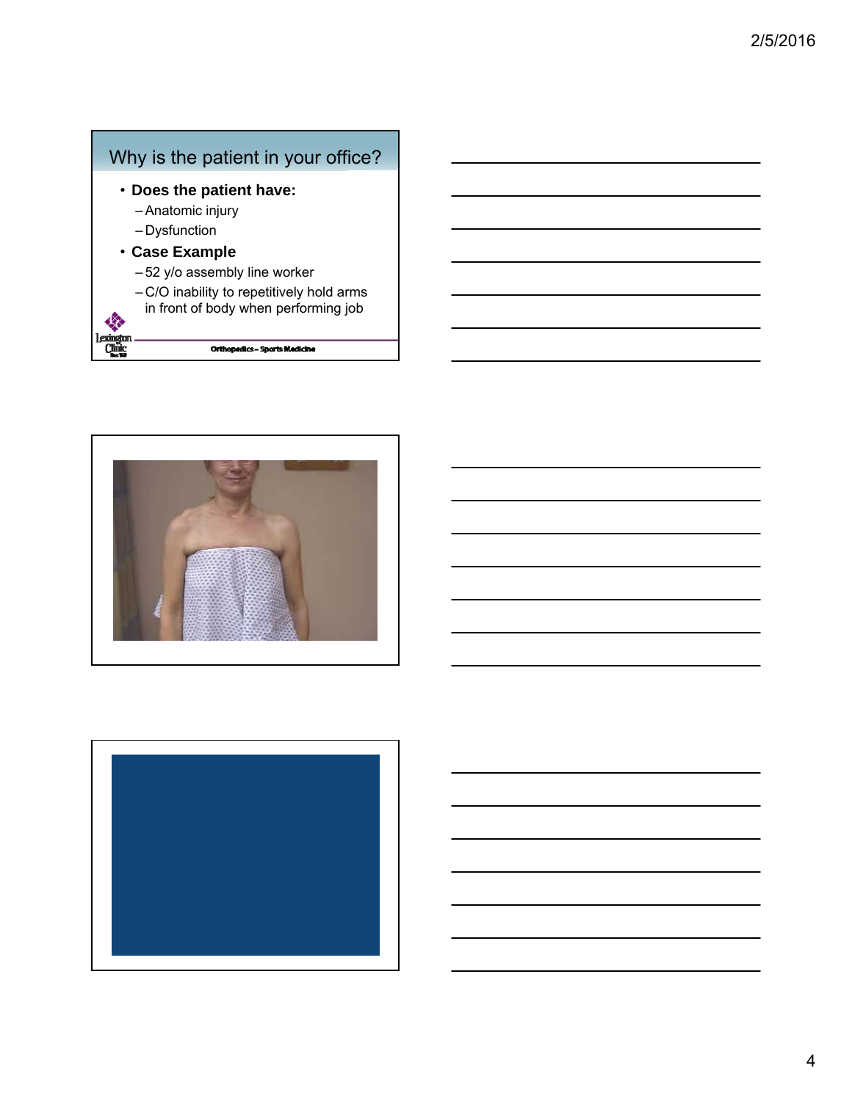



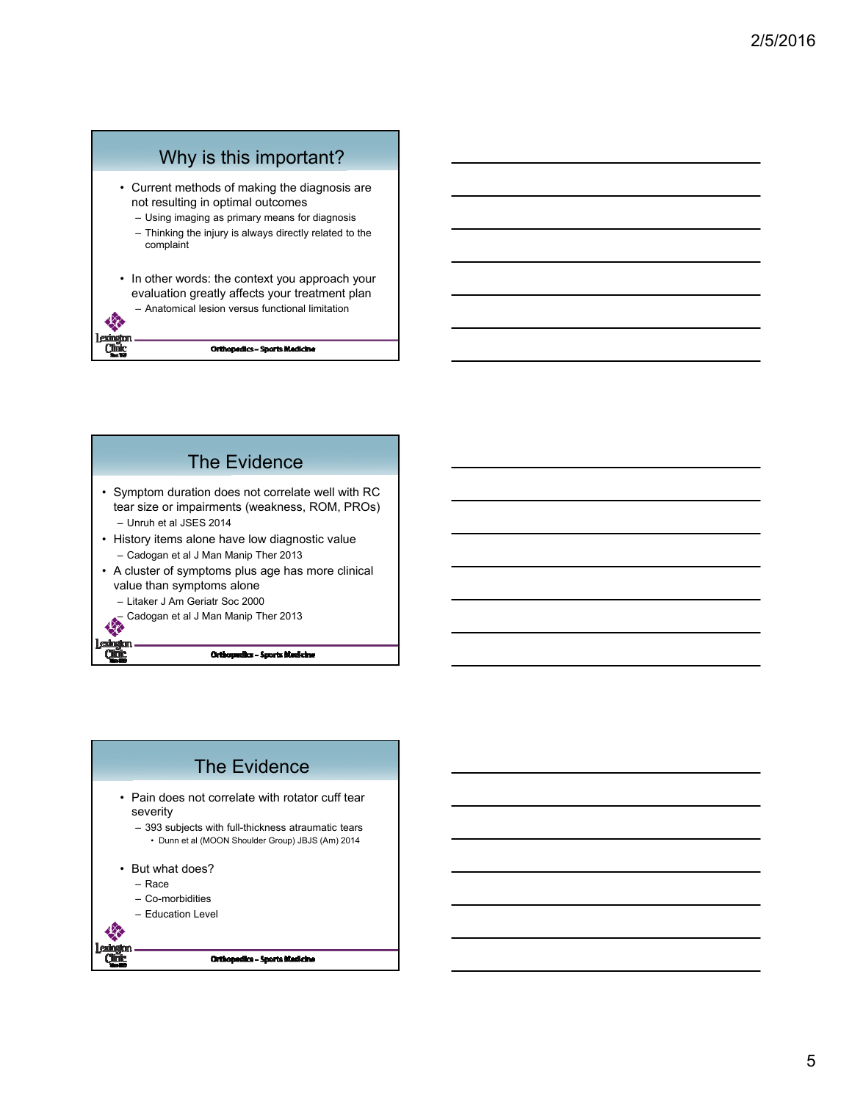



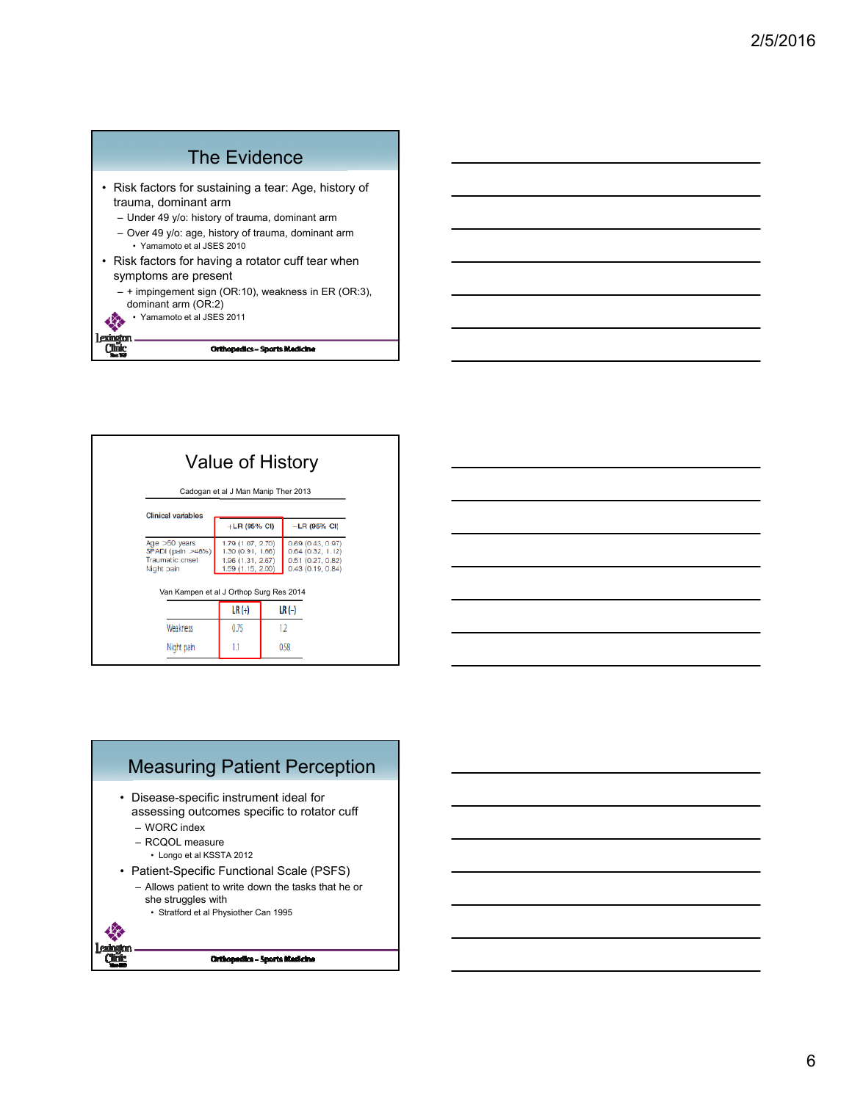#### The Evidence • Risk factors for sustaining a tear: Age, history of trauma, dominant arm – Under 49 y/o: history of trauma, dominant arm – Over 49 y/o: age, history of trauma, dominant arm • Yamamoto et al JSES 2010 • Risk factors for having a rotator cuff tear when symptoms are present – + impingement sign (OR:10), weakness in ER (OR:3), dominant arm (OR:2) • Yamamoto et al JSES 2011 40 exinction

**Orthopedics - Sports Medicine** 

**Chik** 

|                                                                              | Cadogan et al J Man Manip Ther 2013                                              |  |                                                                                 |
|------------------------------------------------------------------------------|----------------------------------------------------------------------------------|--|---------------------------------------------------------------------------------|
| <b>Clinical variables</b>                                                    |                                                                                  |  |                                                                                 |
|                                                                              | $+LR$ (95% CI)                                                                   |  | $-LR$ (95% CI)                                                                  |
| Age $>50$ years<br>SPADI (pain >48%)<br><b>Traumatic cnset</b><br>Night pain | 1.79 (1.07, 2.70)<br>1.30 (0.91, 1.66)<br>1.96 (1.31, 2.67)<br>1.59 (1.15, 2.00) |  | 0.69(0.43, 0.97)<br>$0.64$ (0.32, 1.12)<br>0.51(0.27, 0.82)<br>0.43(0.19, 0.84) |
| Van Kampen et al J Orthop Surg Res 2014                                      |                                                                                  |  |                                                                                 |
|                                                                              | $LR (+)$                                                                         |  | $LR(-)$                                                                         |
|                                                                              |                                                                                  |  |                                                                                 |
| Weakness                                                                     | 0.75                                                                             |  | 12                                                                              |
| Night pain                                                                   | 1.1                                                                              |  | 0.58                                                                            |



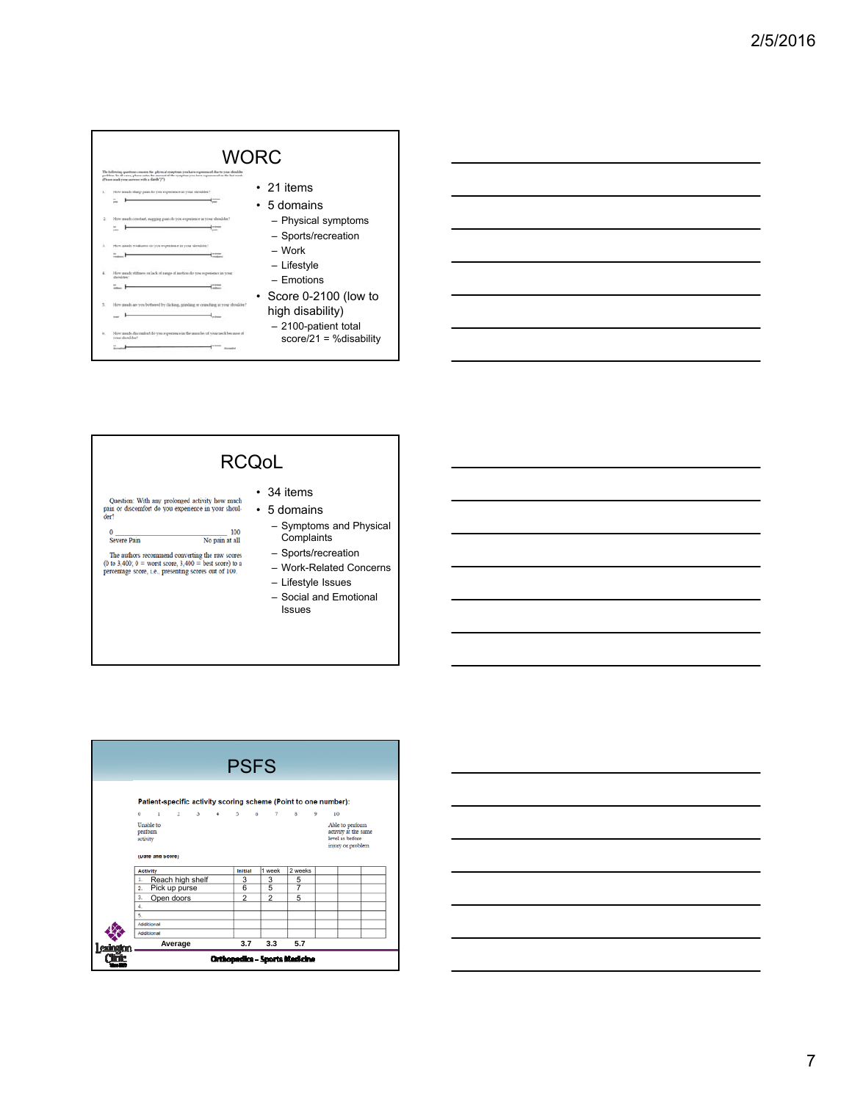# WORC

 $\pm$ 

The following questions common the physical symptometric and compared to the spectrum and the second set of the second set of the second set of the second set of the second set of the second set of the second set of the se

- E
- 
- $\frac{1}{2}$
- $\hat{\mathbf{z}}$  $\frac{16}{16}$ e.
- 
- ٠
- How and<br>your dost  $\sim$  $+$ <sup>1999</sup> and
- 21 items
- 5 domains
	- Physical symptoms
	- Sports/recreation
	- Work
	- Lifestyle
	- Emotions
- Score 0-2100 (low to high disability)
- 2100-patient total score/21 = %disability

## RCQoL

Question: With any prolonged activity how much pain or discomfort do you experience in your shoulder?

 $\frac{100}{\text{No pain at all}}$ Severe Pain

The authors recommend converting the raw scores (0 to 3,400; 0 = worst score, 3,400 = best score) to a percentage score, i.e., presenting scores out of 100.

- 34 items • 5 domains
	- Symptoms and Physical Complaints
	- Sports/recreation
	- Work-Related Concerns
	- Lifestyle Issues
	- Social and Emotional Issues



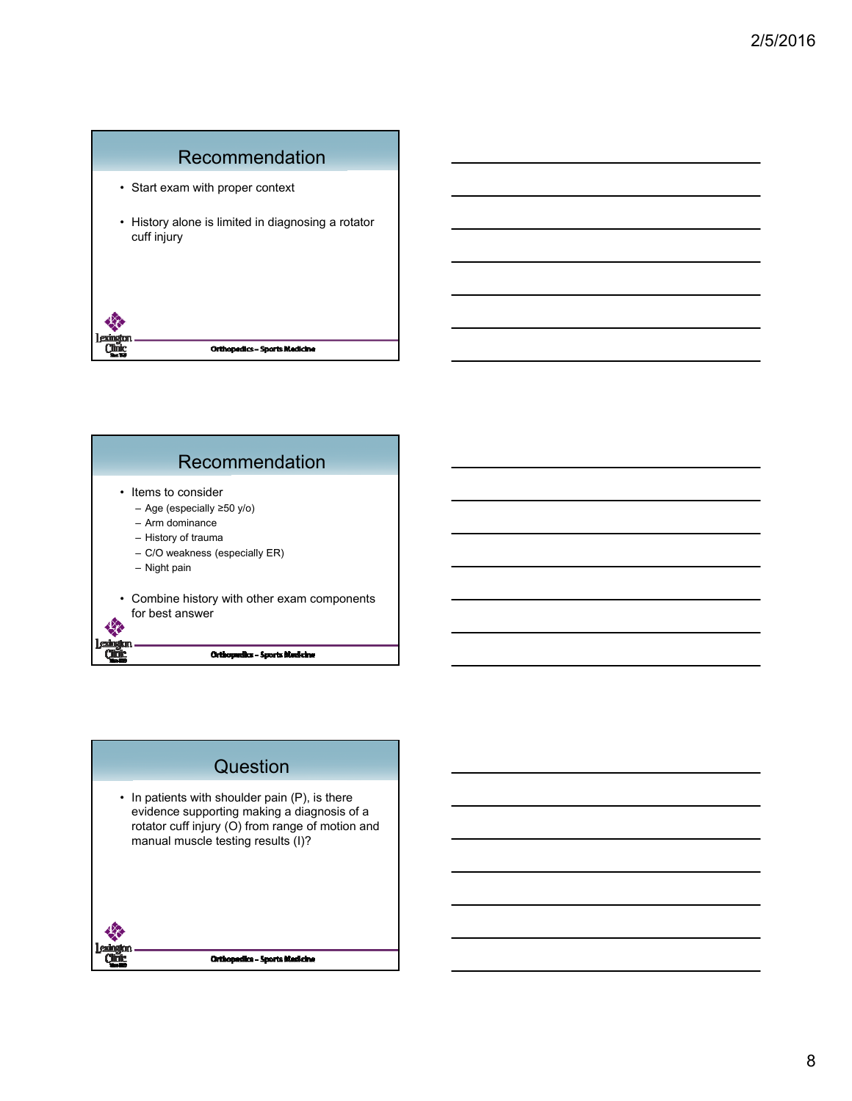## Recommendation

- Start exam with proper context
- History alone is limited in diagnosing a rotator cuff injury





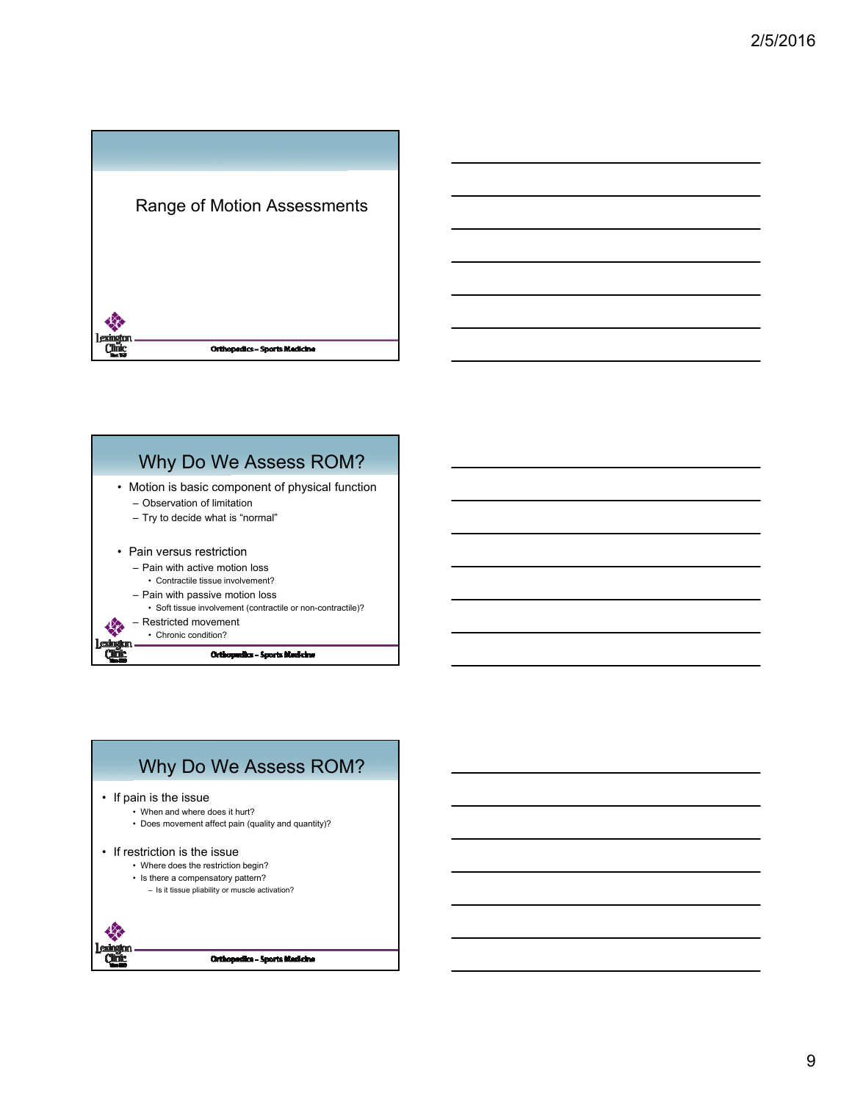



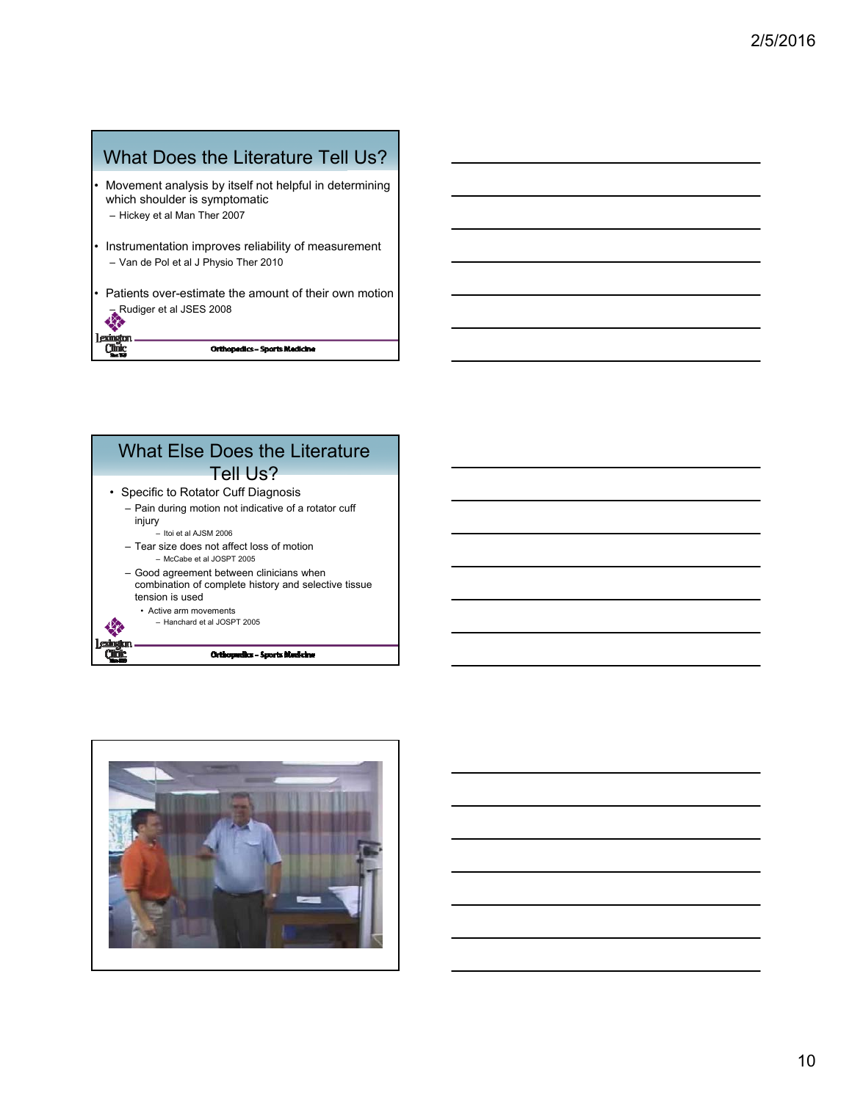## What Does the Literature Tell Us?

- Movement analysis by itself not helpful in determining which shoulder is symptomatic – Hickey et al Man Ther 2007
- Instrumentation improves reliability of measurement – Van de Pol et al J Physio Ther 2010
- Patients over-estimate the amount of their own motion – Rudiger et al JSES 2008

lexington<br>Clinic

**Orthopedics - Sports Medicine** 

#### What Else Does the Literature Tell Us? • Specific to Rotator Cuff Diagnosis – Pain during motion not indicative of a rotator cuff injury – Itoi et al AJSM 2006  $-$  Tear size does not affect loss of motion – McCabe et al JOSPT 2005 – Good agreement between clinicians when combination of complete history and selective tissue tension is used • Active arm movements – Hanchard et al JOSPT 2005Orthopedics - Sports Medicine Qũ

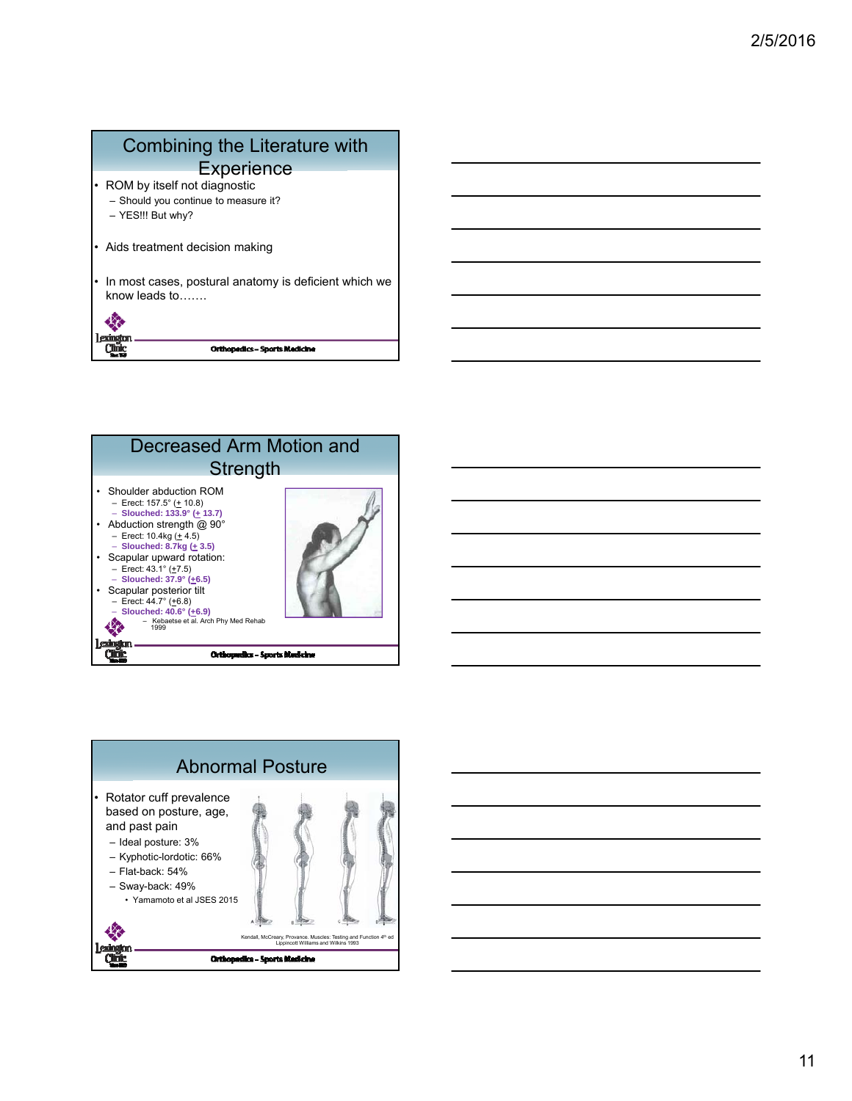## Combining the Literature with **Experience** ROM by itself not diagnostic – Should you continue to measure it? – YES!!! But why? Aids treatment decision making In most cases, postural anatomy is deficient which we know leads to…….

**Orthopedics - Sports Medicine** 

紫 Lexington<br>Clinic



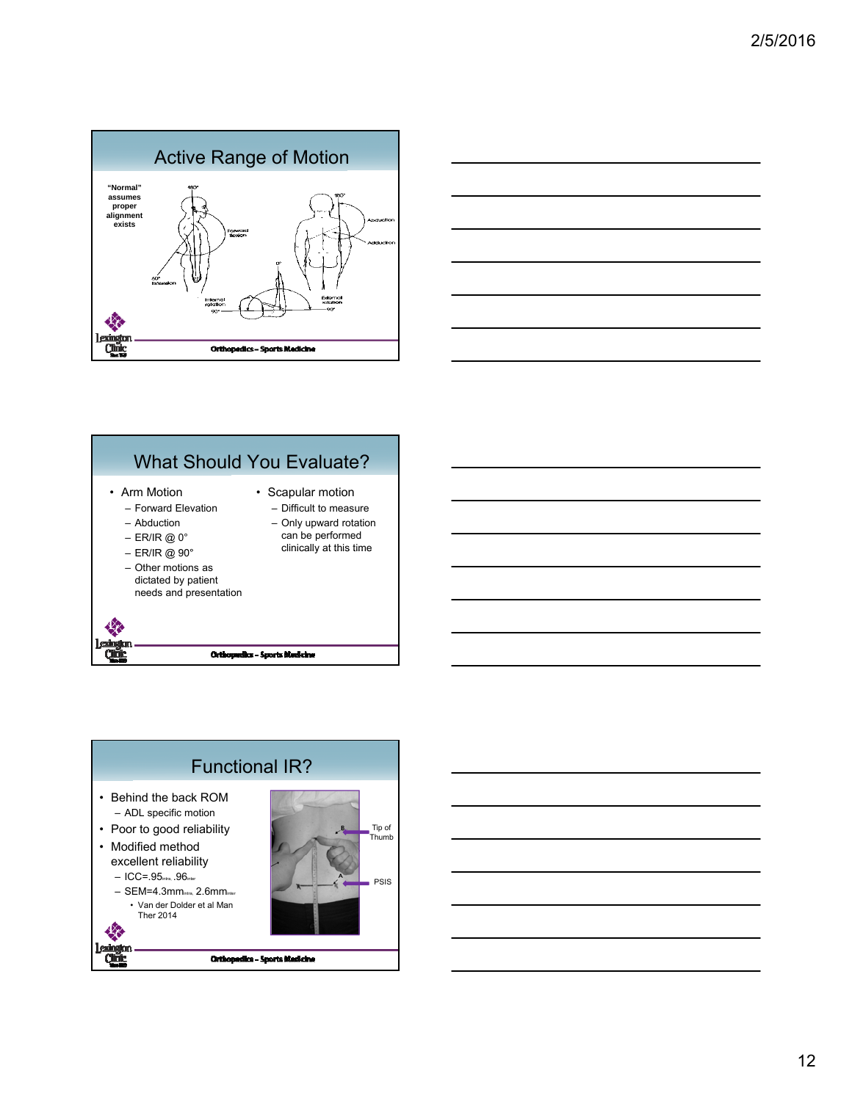





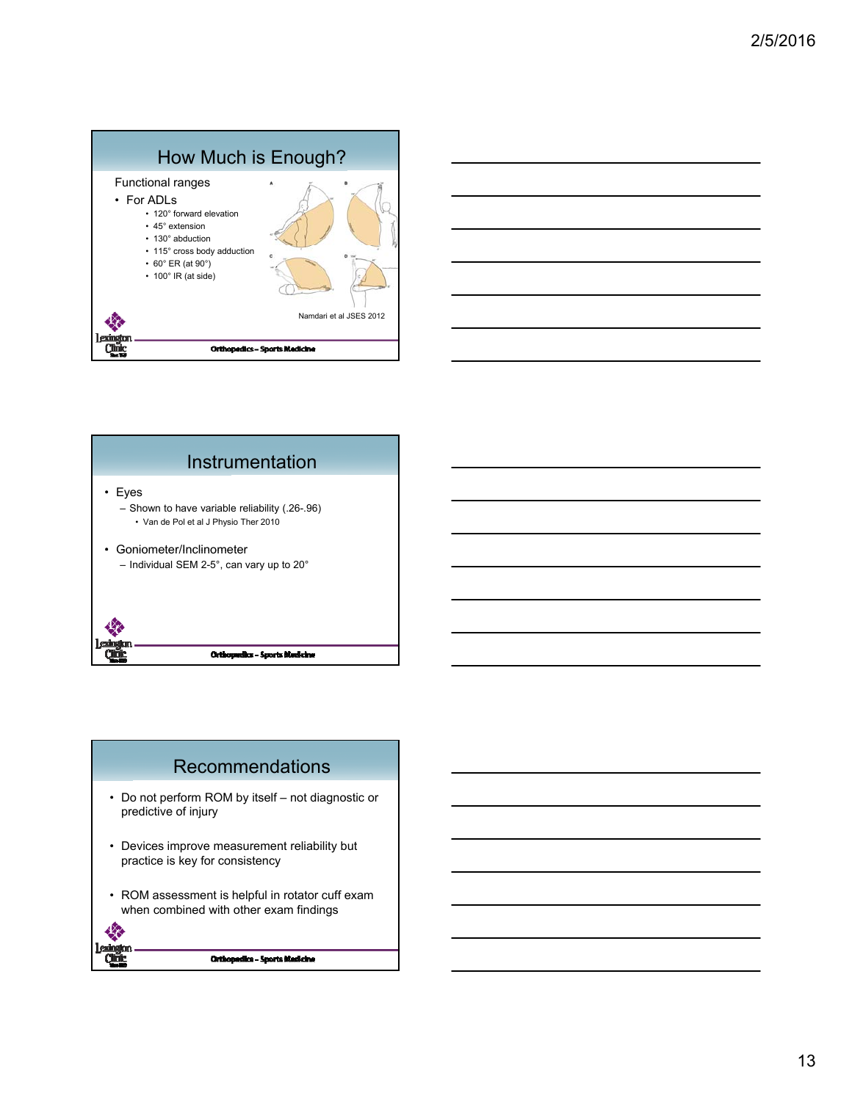





- Do not perform ROM by itself not diagnostic or predictive of injury
- Devices improve measurement reliability but practice is key for consistency
- ROM assessment is helpful in rotator cuff exam when combined with other exam findings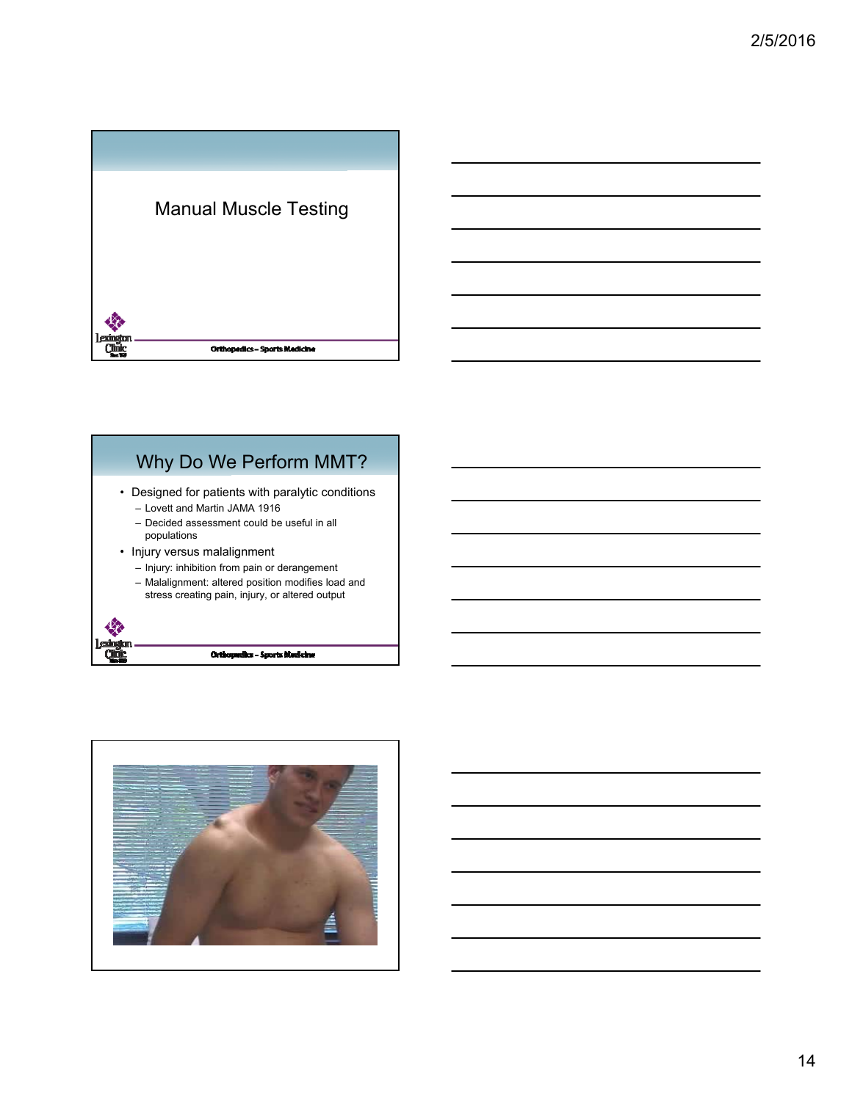

# Why Do We Perform MMT?

- Designed for patients with paralytic conditions – Lovett and Martin JAMA 1916
	- Decided assessment could be useful in all populations
- Injury versus malalignment

Qũ

- Injury: inhibition from pain or derangement
- Malalignment: altered position modifies load and
- stress creating pain, injury, or altered output

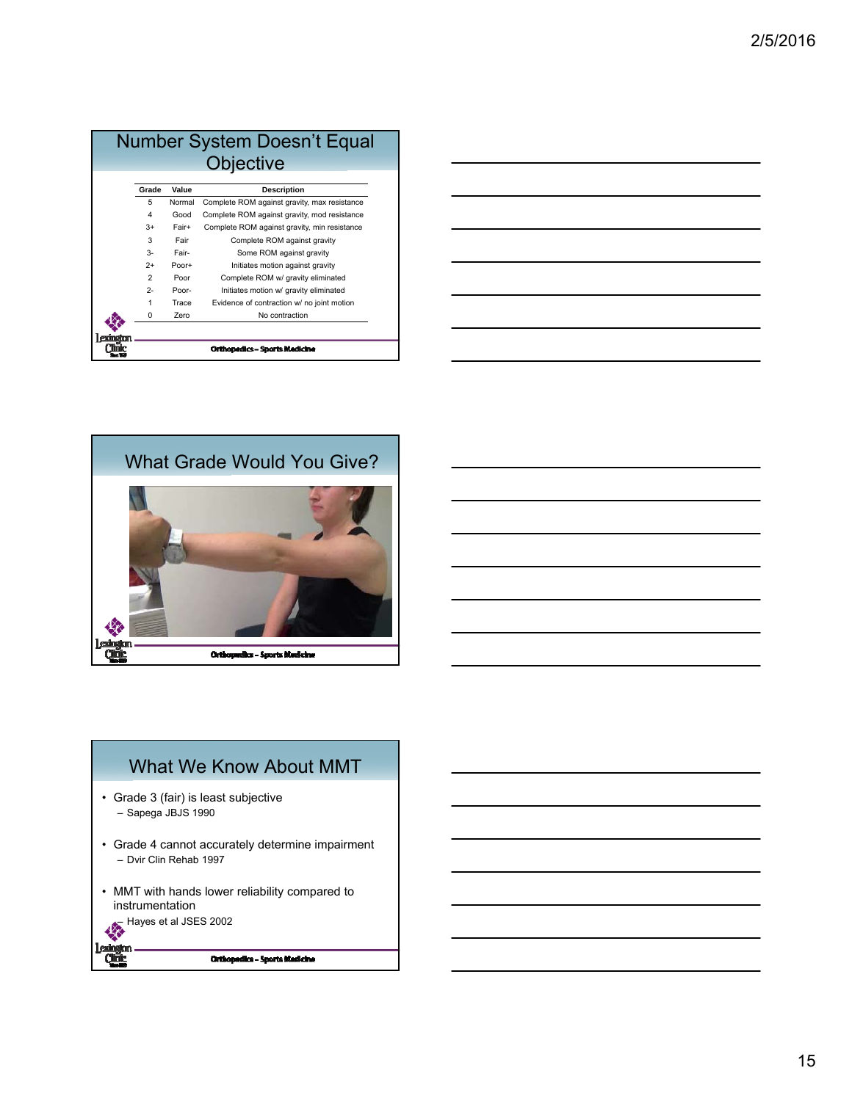|                |        | Number System Doesn't Equal                  |
|----------------|--------|----------------------------------------------|
|                |        | <b>Objective</b>                             |
|                |        |                                              |
| Grade          | Value  | <b>Description</b>                           |
| 5              | Normal | Complete ROM against gravity, max resistance |
| 4              | Good   | Complete ROM against gravity, mod resistance |
| $3+$           | Fair+  | Complete ROM against gravity, min resistance |
| 3              | Fair   | Complete ROM against gravity                 |
| $\mathcal{R}$  | Fair-  | Some ROM against gravity                     |
| $2+$           | Poor+  | Initiates motion against gravity             |
| $\mathfrak{p}$ | Poor   | Complete ROM w/ gravity eliminated           |
| $2 -$          | Poor-  | Initiates motion w/ gravity eliminated       |
| 1              | Trace  | Evidence of contraction w/ no joint motion   |
| 0              | Zero   | No contraction                               |
|                |        |                                              |
|                |        |                                              |
|                |        | <b>Orthopedics - Sports Medicine</b>         |

| <u> 1989 - Johann Stoff, amerikansk politiker (d. 1989)</u> |  |     |
|-------------------------------------------------------------|--|-----|
|                                                             |  | ___ |
| <u> 1989 - Johann Barnett, fransk politiker (d. 1989)</u>   |  | ___ |
|                                                             |  |     |
|                                                             |  |     |





- Grade 3 (fair) is least subjective – Sapega JBJS 1990
- Grade 4 cannot accurately determine impairment – Dvir Clin Rehab 1997
- MMT with hands lower reliability compared to instrumentation – Hayes et al JSES 2002

**Lexington**<br>Quing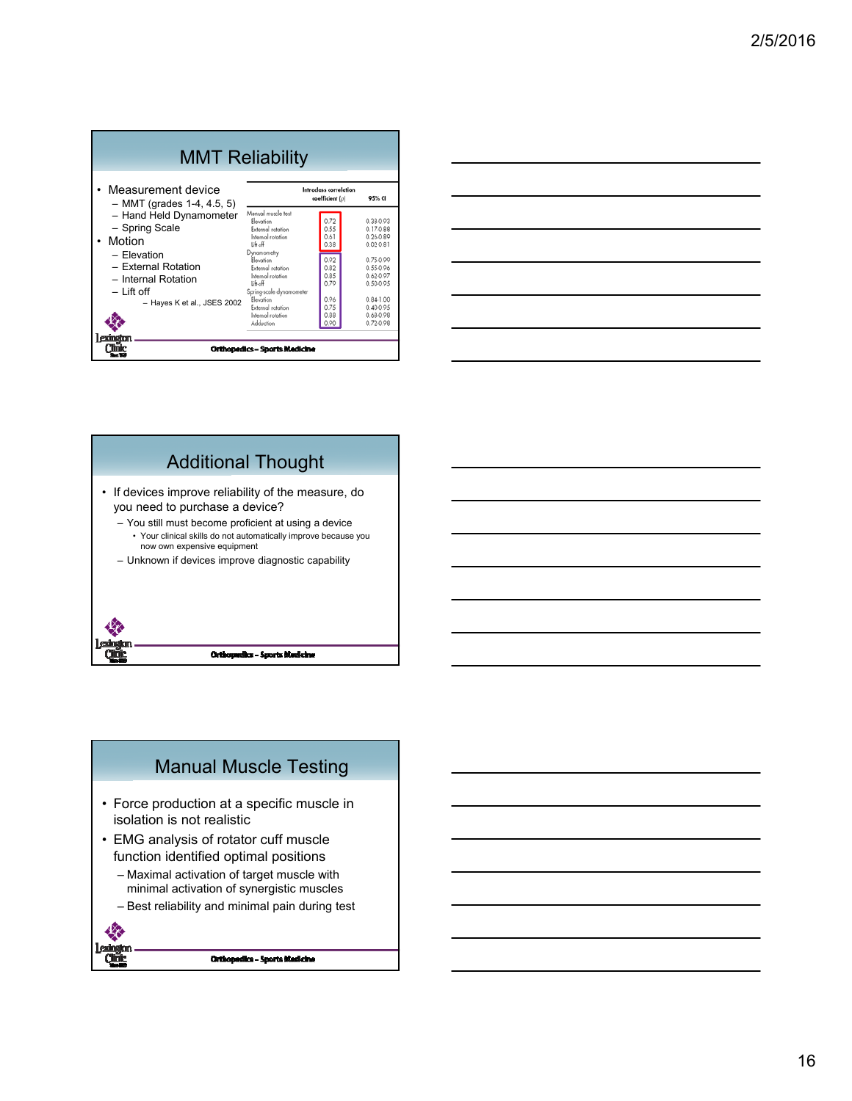|                                                                    | <b>MMT Reliability</b>                                                                              |                                          |                                                          |
|--------------------------------------------------------------------|-----------------------------------------------------------------------------------------------------|------------------------------------------|----------------------------------------------------------|
| Measurement device<br>$-$ MMT (grades 1-4, 4.5, 5)                 |                                                                                                     | Intradass correlation<br>coefficient (p) | 95% CI                                                   |
| - Hand Held Dynamometer<br>- Spring Scale<br>Motion<br>- Elevation | Manual muscle test<br>Elevation<br>External rotation<br>Internal rotation<br>Liftoff<br>Dynamometry | 0.72<br>0.55<br>0.61<br>0.38             | 0.38-0.93<br>$0.17 - 0.88$<br>0.26-0.89<br>$0.02 - 0.81$ |
| - External Rotation<br>- Internal Rotation                         | Elevation<br>External rotation<br>Internal rotation<br>Lift-off                                     | 0.92<br>0.82<br>0.85<br>0.79             | 0.75-0.99<br>0.55-0.96<br>0.62-0.97<br>0.50-0.95         |
| $-$ Lift off<br>- Hayes K et al., JSES 2002                        | Spring-scale dynamometer<br>Elevation<br>External rotation<br>Internal rotation<br>Adduction        | 0.96<br>0.75<br>0.88                     | $0.84 - 1.00$<br>$0.40 - 0.95$<br>0.68-0.98<br>0.72-0.98 |
| exindia                                                            | <b>Orthopedics - Sports Medicine</b>                                                                |                                          |                                                          |

| the control of the control of the control of the control of the control of the control of the control of the control of the control of the control of the control of the control of the control of the control of the control |  |
|-------------------------------------------------------------------------------------------------------------------------------------------------------------------------------------------------------------------------------|--|
|                                                                                                                                                                                                                               |  |
| <u> 1989 - Johann Stoff, deutscher Stoffen und der Stoffen und der Stoffen und der Stoffen und der Stoffen und d</u>                                                                                                          |  |
|                                                                                                                                                                                                                               |  |
|                                                                                                                                                                                                                               |  |
|                                                                                                                                                                                                                               |  |
|                                                                                                                                                                                                                               |  |
|                                                                                                                                                                                                                               |  |
|                                                                                                                                                                                                                               |  |
|                                                                                                                                                                                                                               |  |
|                                                                                                                                                                                                                               |  |
|                                                                                                                                                                                                                               |  |
|                                                                                                                                                                                                                               |  |



## Manual Muscle Testing

- Force production at a specific muscle in isolation is not realistic
- EMG analysis of rotator cuff muscle function identified optimal positions
	- Maximal activation of target muscle with minimal activation of synergistic muscles
	- Best reliability and minimal pain during test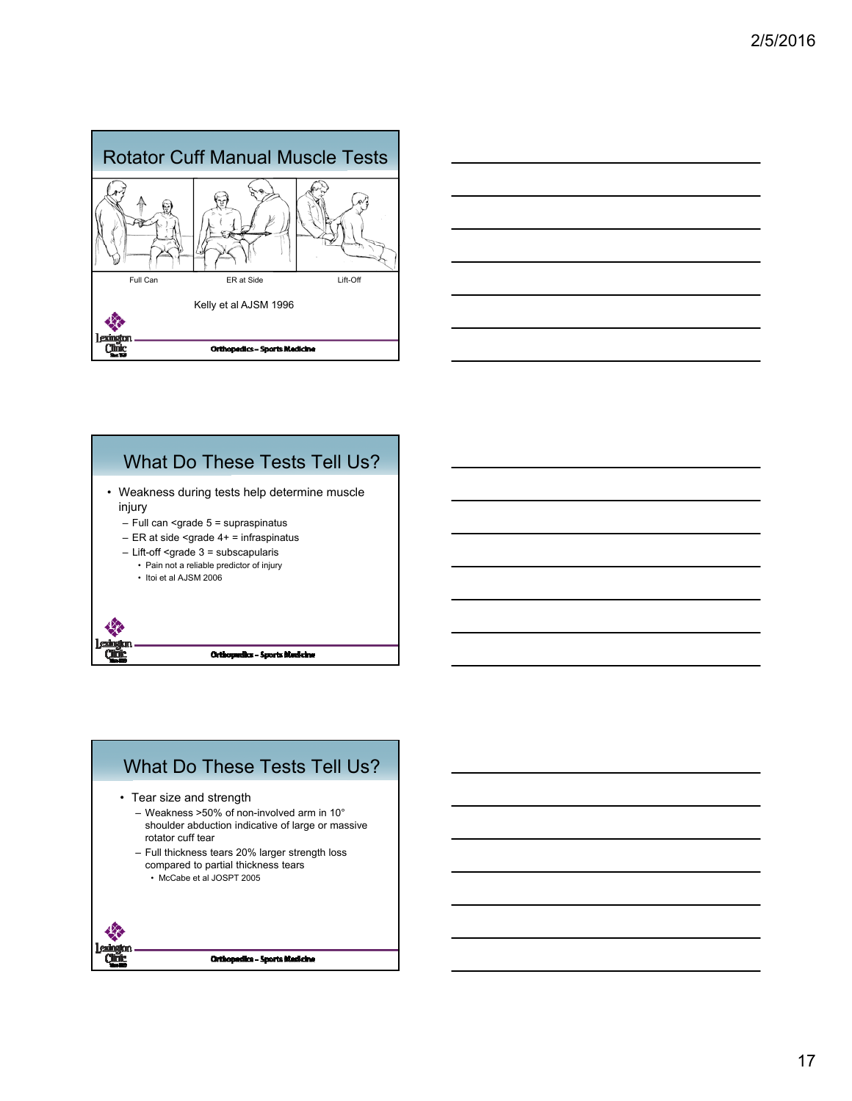





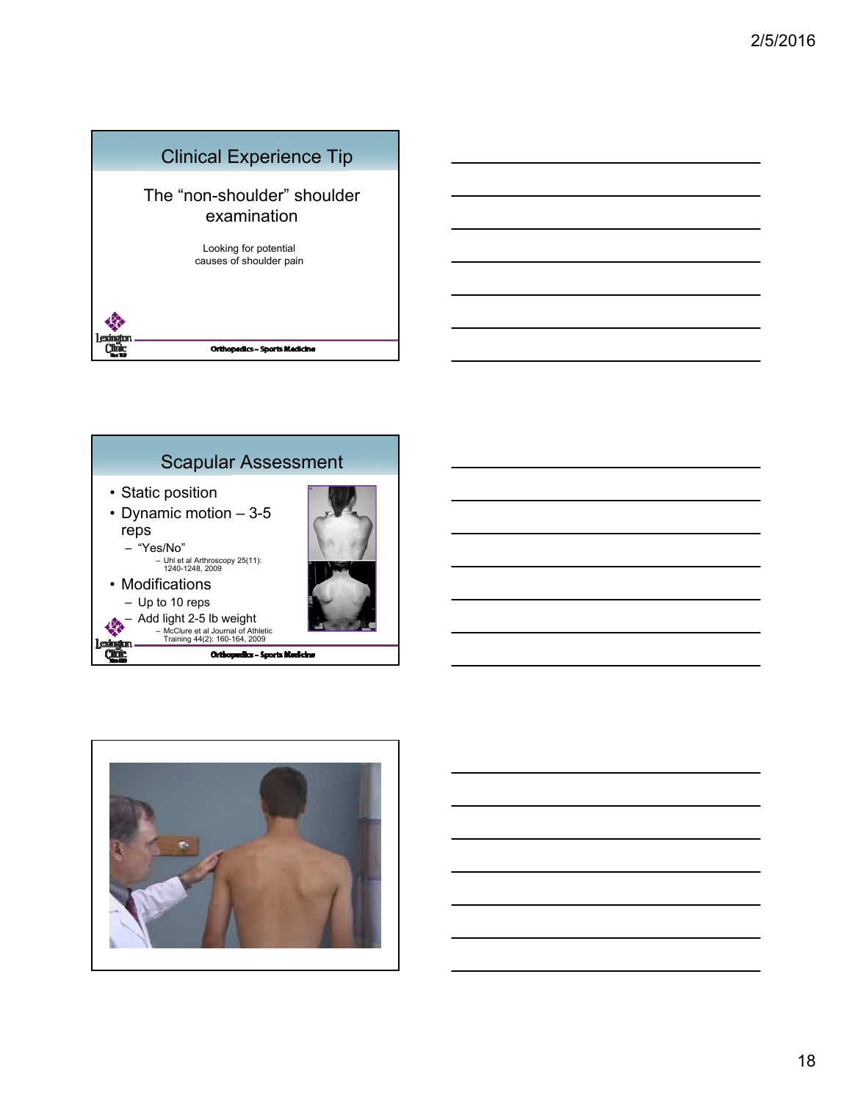



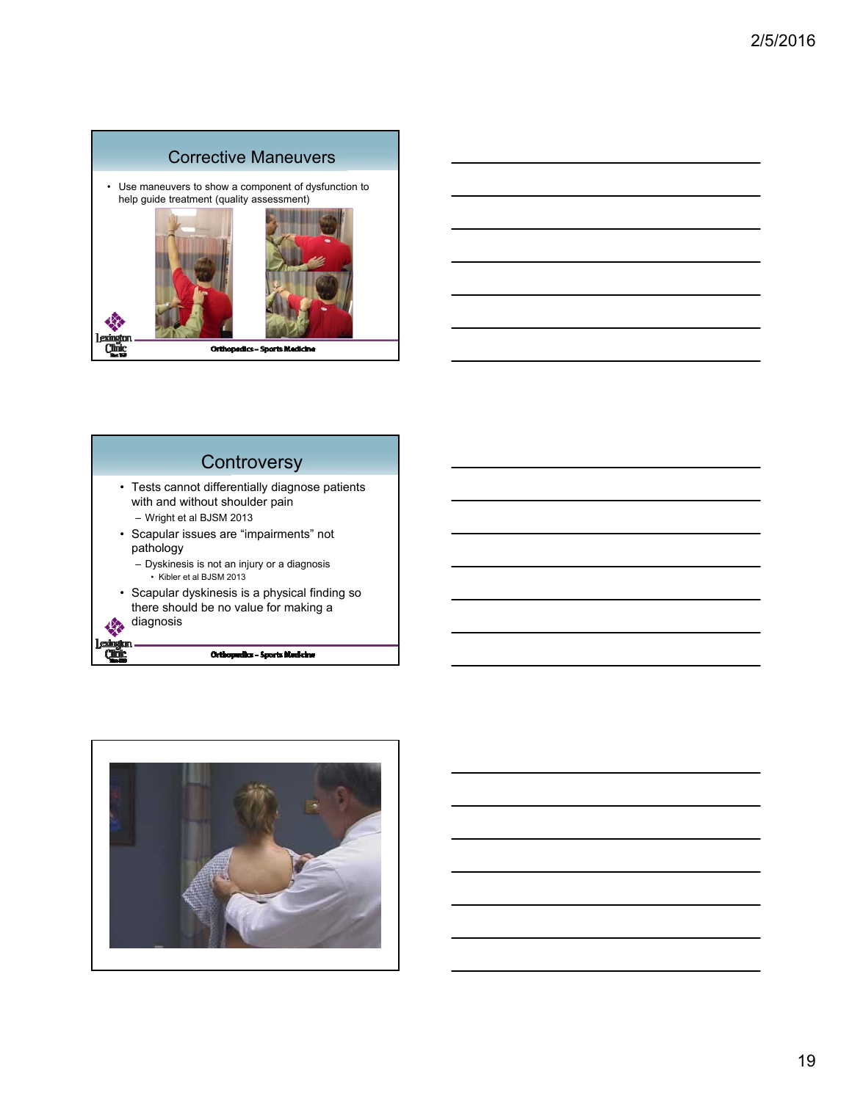





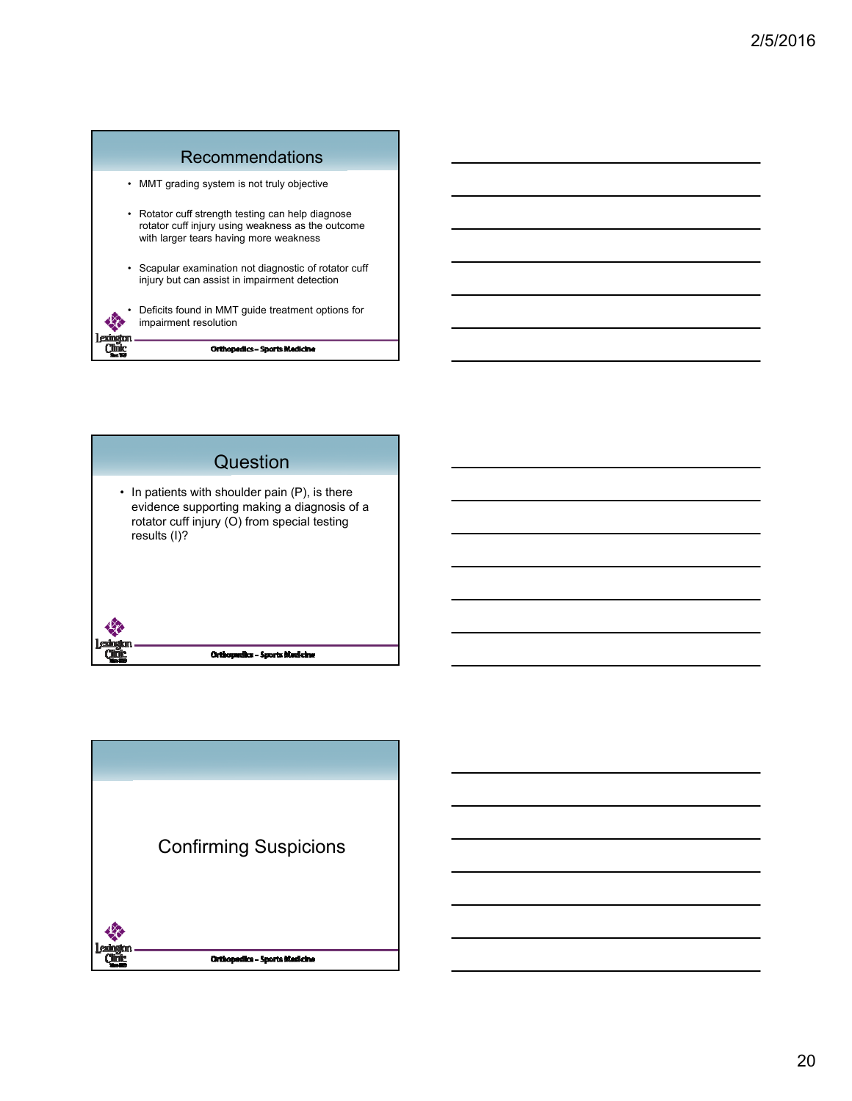



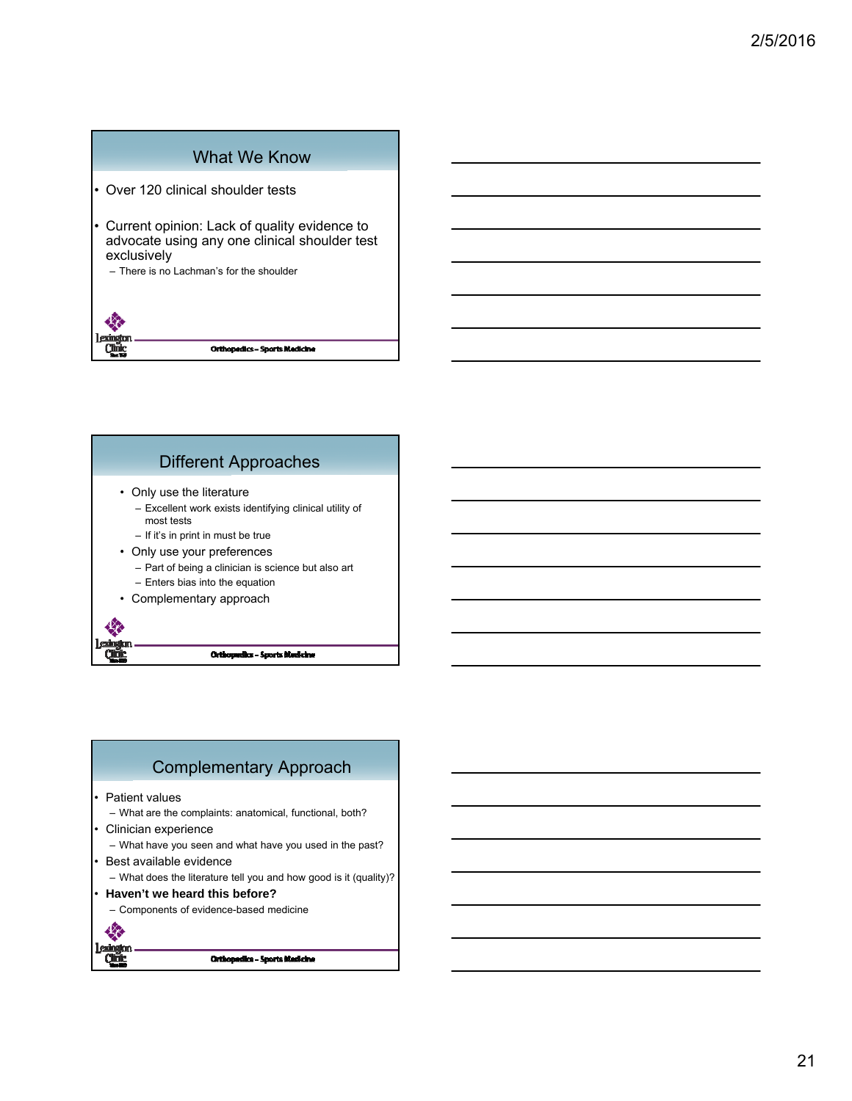### What We Know

• Over 120 clinical shoulder tests

• Current opinion: Lack of quality evidence to advocate using any one clinical shoulder test exclusively

– There is no Lachman's for the shoulder

**Orthopedics - Sports Medicine** 

### Different Approaches

• Only use the literature

Qmk

Qũ

- Excellent work exists identifying clinical utility of most tests
- If it's in print in must be true
- Only use your preferences
	- Part of being a clinician is science but also art
	- Enters bias into the equation
- Complementary approach

Orthopedics - Sports Medicine

### Complementary Approach Patient values – What are the complaints: anatomical, functional, both? • Clinician experience – What have you seen and what have you used in the past? Best available evidence – What does the literature tell you and how good is it (quality)? • **Haven't we heard this before?** – Components of evidence-based medicine收 <u>Clur</u> Orthopedics - Sports Medicine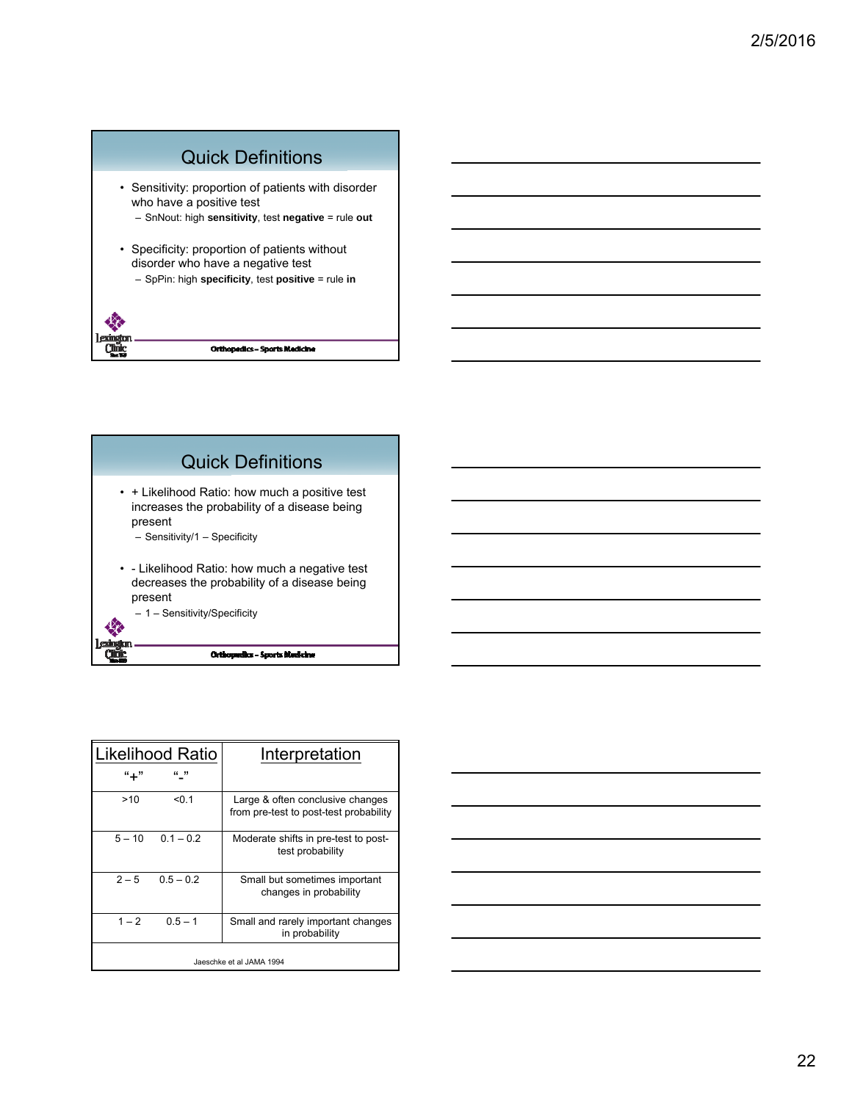



|          | Likelihood Ratio | Interpretation                                                             |
|----------|------------------|----------------------------------------------------------------------------|
| "+"      | (1, 3)           |                                                                            |
| >10      | < 0.1            | Large & often conclusive changes<br>from pre-test to post-test probability |
| $5 - 10$ | $0.1 - 0.2$      | Moderate shifts in pre-test to post-<br>test probability                   |
| $2 - 5$  | $0.5 - 0.2$      | Small but sometimes important<br>changes in probability                    |
| $1 - 2$  | $0.5 - 1$        | Small and rarely important changes<br>in probability                       |
|          |                  | Jaeschke et al JAMA 1994                                                   |

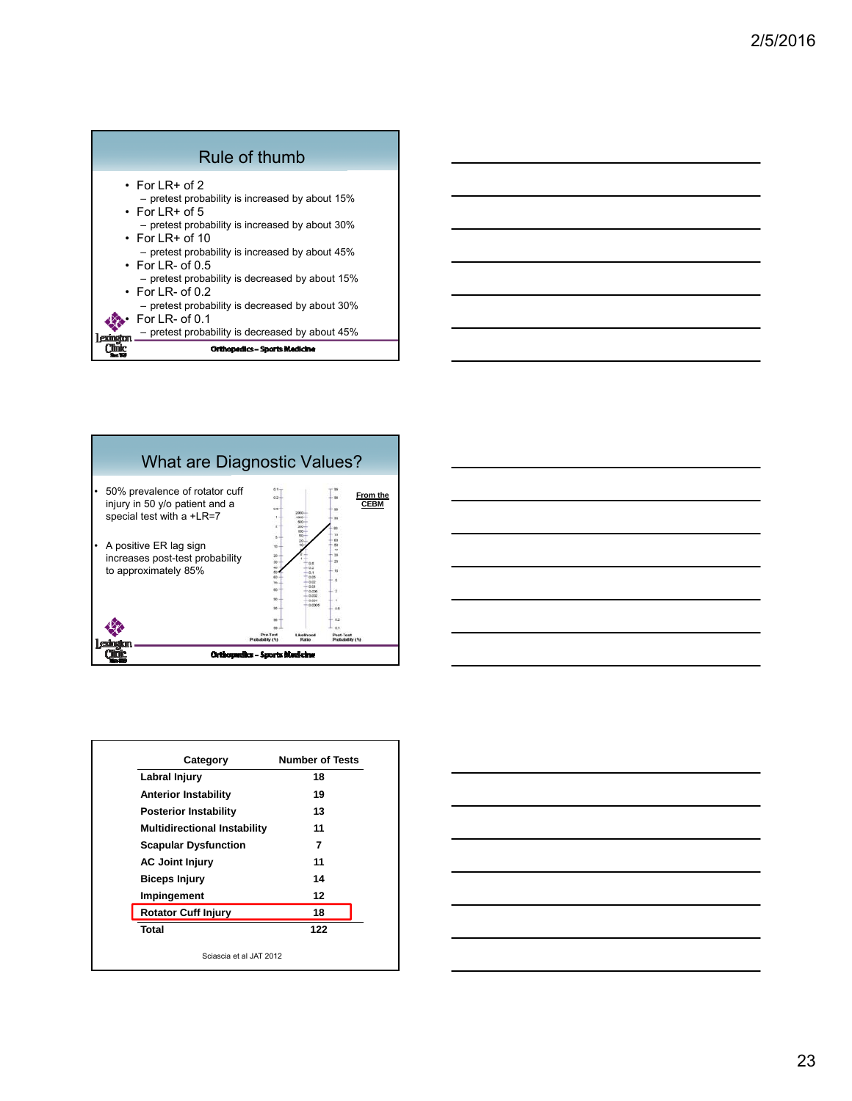





| Category                            | <b>Number of Tests</b> |
|-------------------------------------|------------------------|
| Labral Injury                       | 18                     |
| <b>Anterior Instability</b>         | 19                     |
| <b>Posterior Instability</b>        | 13                     |
| <b>Multidirectional Instability</b> | 11                     |
| <b>Scapular Dysfunction</b>         | 7                      |
| <b>AC Joint Injury</b>              | 11                     |
| <b>Biceps Injury</b>                | 14                     |
| Impingement                         | 12                     |
| <b>Rotator Cuff Injury</b>          | 18                     |
| Total                               | 122                    |
| Sciascia et al JAT 2012             |                        |

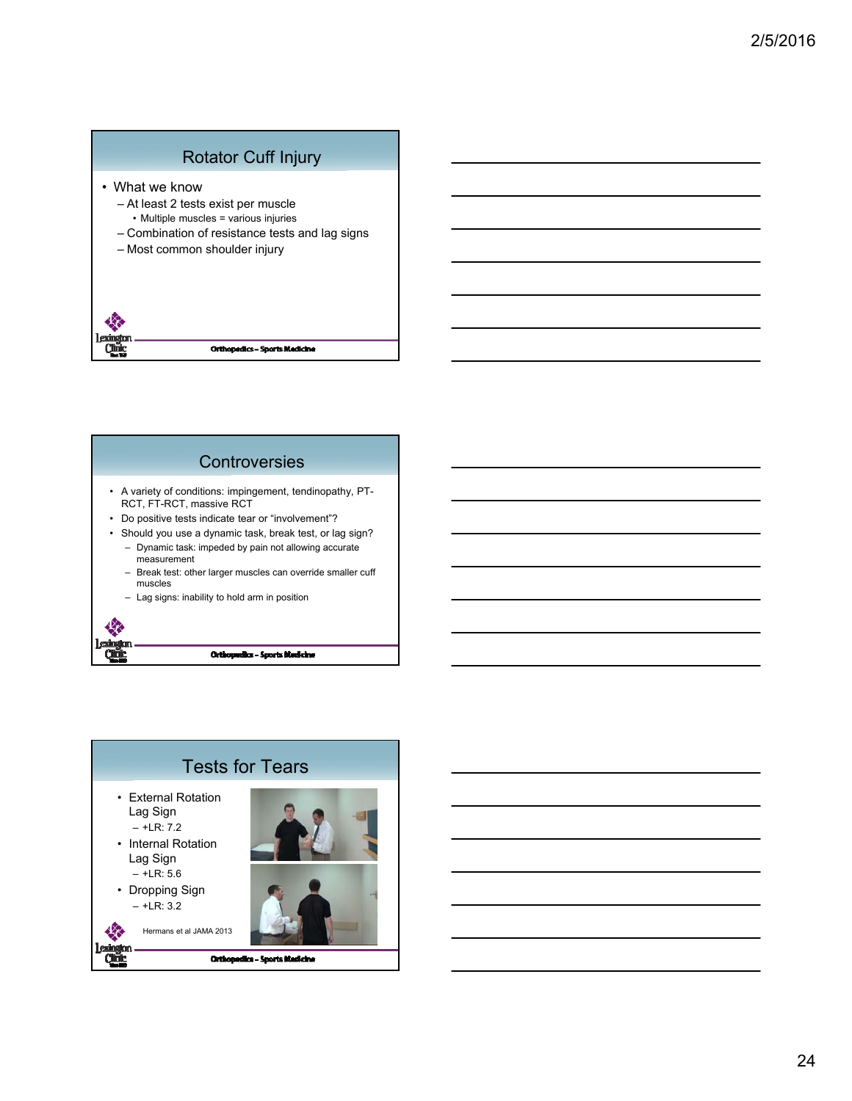## Rotator Cuff Injury

- What we know
	- At least 2 tests exist per muscle
	- Multiple muscles = various injuries
	- Combination of resistance tests and lag signs
	- Most common shoulder injury

```
Qm
              Orthopedics - Sports Medicine
```
# **Controversies**

- A variety of conditions: impingement, tendinopathy, PT-RCT, FT-RCT, massive RCT
- Do positive tests indicate tear or "involvement"?
- Should you use a dynamic task, break test, or lag sign? – Dynamic task: impeded by pain not allowing accurate measurement
	- Break test: other larger muscles can override smaller cuff muscles
	- Lag signs: inability to hold arm in position

Qũ

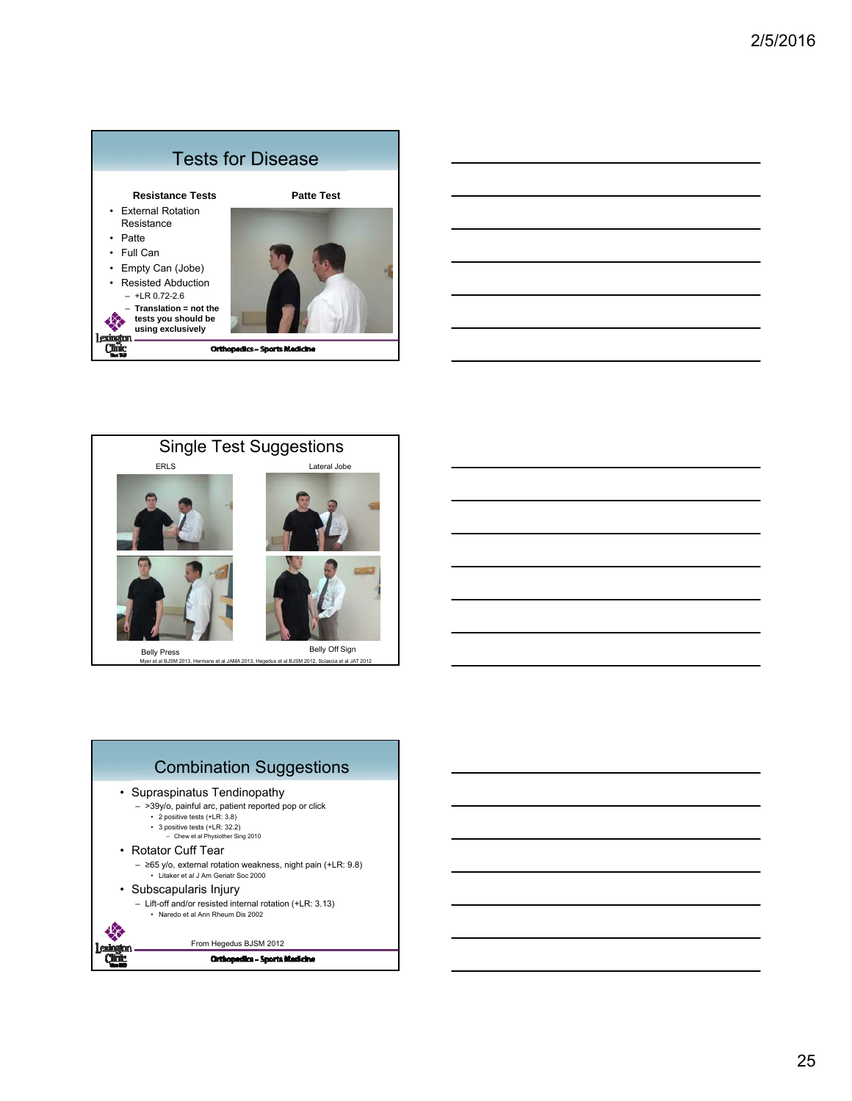





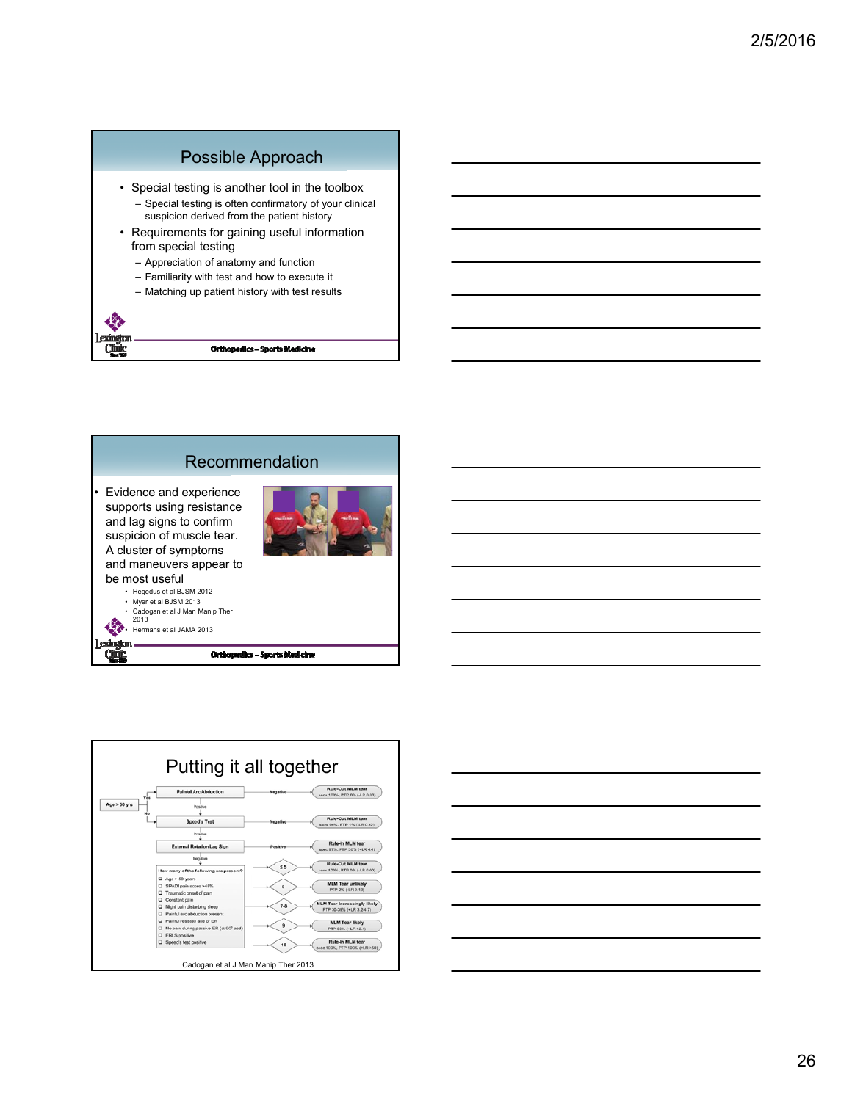